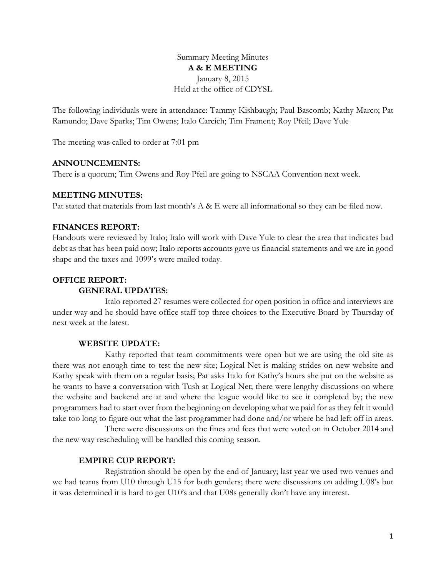Summary Meeting Minutes **A & E MEETING** January 8, 2015 Held at the office of CDYSL

The following individuals were in attendance: Tammy Kishbaugh; Paul Bascomb; Kathy Marco; Pat Ramundo; Dave Sparks; Tim Owens; Italo Carcich; Tim Frament; Roy Pfeil; Dave Yule

The meeting was called to order at 7:01 pm

### **ANNOUNCEMENTS:**

There is a quorum; Tim Owens and Roy Pfeil are going to NSCAA Convention next week.

### **MEETING MINUTES:**

Pat stated that materials from last month's A & E were all informational so they can be filed now.

### **FINANCES REPORT:**

Handouts were reviewed by Italo; Italo will work with Dave Yule to clear the area that indicates bad debt as that has been paid now; Italo reports accounts gave us financial statements and we are in good shape and the taxes and 1099's were mailed today.

## **OFFICE REPORT:**

#### **GENERAL UPDATES:**

Italo reported 27 resumes were collected for open position in office and interviews are under way and he should have office staff top three choices to the Executive Board by Thursday of next week at the latest.

#### **WEBSITE UPDATE:**

Kathy reported that team commitments were open but we are using the old site as there was not enough time to test the new site; Logical Net is making strides on new website and Kathy speak with them on a regular basis; Pat asks Italo for Kathy's hours she put on the website as he wants to have a conversation with Tush at Logical Net; there were lengthy discussions on where the website and backend are at and where the league would like to see it completed by; the new programmers had to start over from the beginning on developing what we paid for as they felt it would take too long to figure out what the last programmer had done and/or where he had left off in areas.

There were discussions on the fines and fees that were voted on in October 2014 and the new way rescheduling will be handled this coming season.

## **EMPIRE CUP REPORT:**

Registration should be open by the end of January; last year we used two venues and we had teams from U10 through U15 for both genders; there were discussions on adding U08's but it was determined it is hard to get U10's and that U08s generally don't have any interest.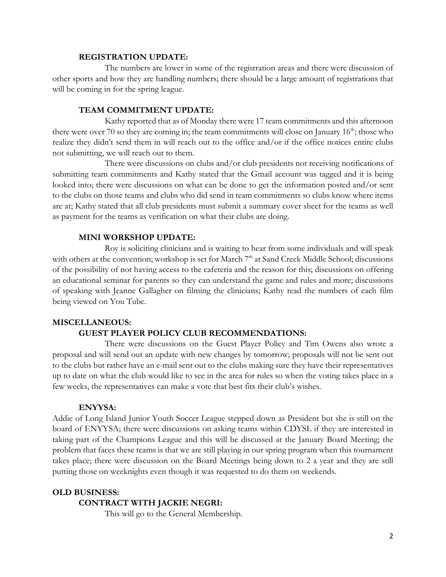#### **REGISTRATION UPDATE:**

The numbers are lower in some of the registration areas and there were discussion of other sports and how they are handling numbers; there should be a large amount of registrations that will be coming in for the spring league.

## **TEAM COMMITMENT UPDATE:**

Kathy reported that as of Monday there were 17 team commitments and this afternoon there were over 70 so they are coming in; the team commitments will close on January  $16<sup>th</sup>$ ; those who realize they didn't send them in will reach out to the office and/or if the office notices entire clubs not submitting, we will reach out to them.

There were discussions on clubs and/or club presidents not receiving notifications of submitting team commitments and Kathy stated that the Gmail account was tagged and it is being looked into; there were discussions on what can be done to get the information posted and/or sent to the clubs on those teams and clubs who did send in team commitments so clubs know where items are at; Kathy stated that all club presidents must submit a summary cover sheet for the teams as well as payment for the teams as verification on what their clubs are doing.

#### **MINI WORKSHOP UPDATE:**

Roy is soliciting clinicians and is waiting to hear from some individuals and will speak with others at the convention; workshop is set for March 7<sup>th</sup> at Sand Creek Middle School; discussions of the possibility of not having access to the cafeteria and the reason for this; discussions on offering an educational seminar for parents so they can understand the game and rules and more; discussions of speaking with Jeanne Gallagher on filming the clinicians; Kathy read the numbers of each film being viewed on You Tube.

# **MISCELLANEOUS:**

## **GUEST PLAYER POLICY CLUB RECOMMENDATIONS:**

There were discussions on the Guest Player Policy and Tim Owens also wrote a proposal and will send out an update with new changes by tomorrow; proposals will not be sent out to the clubs but rather have an e-mail sent out to the clubs making sure they have their representatives up to date on what the club would like to see in the area for rules so when the voting takes place in a few weeks, the representatives can make a vote that best fits their club's wishes.

## **ENYYSA:**

Addie of Long Island Junior Youth Soccer League stepped down as President but she is still on the board of ENYYSA; there were discussions on asking teams within CDYSL if they are interested in taking part of the Champions League and this will be discussed at the January Board Meeting; the problem that faces these teams is that we are still playing in our spring program when this tournament takes place; there were discussion on the Board Meetings being down to 2 a year and they are still putting those on weeknights even though it was requested to do them on weekends.

# **OLD BUSINESS:**

#### **CONTRACT WITH JACKIE NEGRI:**

This will go to the General Membership.